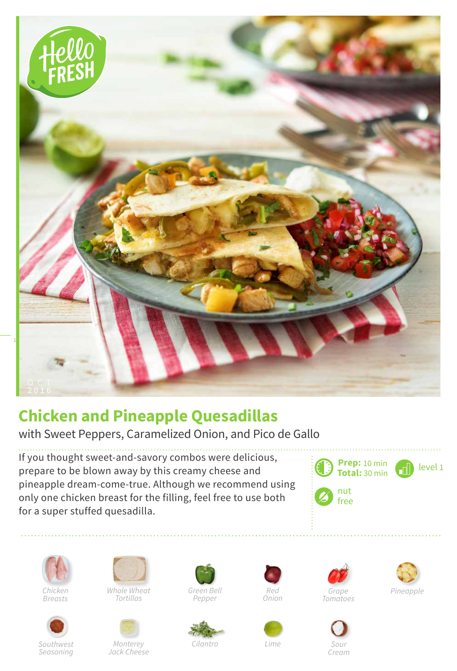

## **Chicken and Pineapple Quesadillas**

with Sweet Peppers, Caramelized Onion, and Pico de Gallo

If you thought sweet-and-savory combos were delicious, prepare to be blown away by this creamy cheese and pineapple dream-come-true. Although we recommend using only one chicken breast for the filling, feel free to use both for a super stuffed quesadilla.





*Breasts*





*Monterey Jack Cheese*



*Green Bell Pepper*



*Lime*







*Cream*